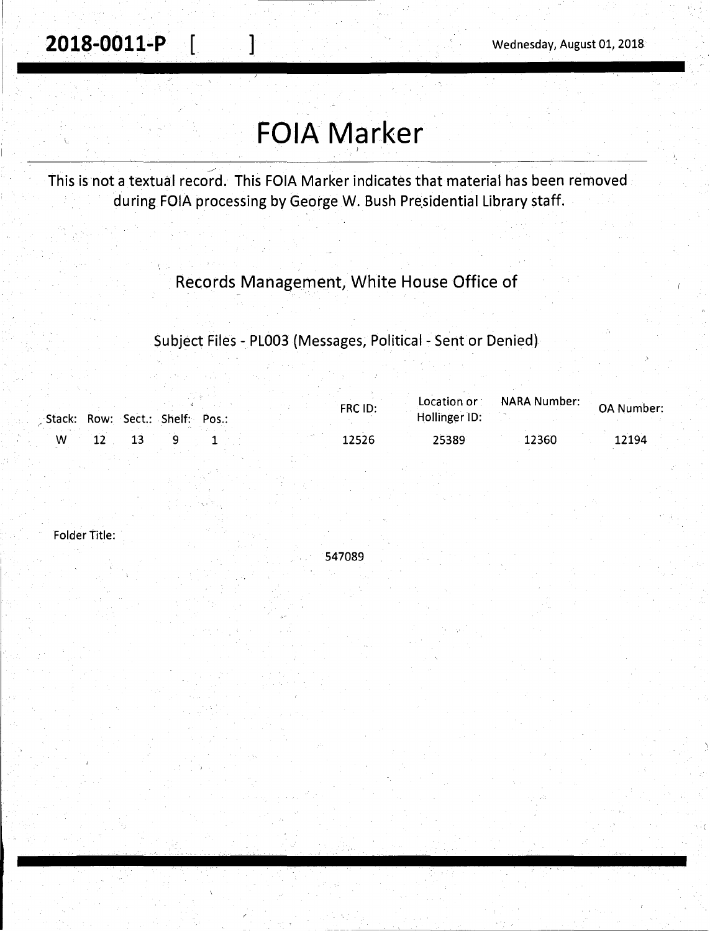1-~·--·------- -

# **FOIA Marker**

 $\overline{\phantom{0}}$ This is not a textual record. This FOIA Marker indicates that material has been removed during FOIA processing by George W. Bush Presidential Library staff.

#### Records Management, White House Office of

Subject Files - PL003 (Messages, Political - Sent or Denied)

|  |  |                                 |  | FRC ID: | Location or   | NARA Number: | <b>OA Number:</b> |
|--|--|---------------------------------|--|---------|---------------|--------------|-------------------|
|  |  | Stack: Row: Sect.: Shelf: Pos.: |  |         | Hollinger ID: |              |                   |
|  |  |                                 |  | 12526   | 25389         | 12360        | 12194             |

Folder Title:

547089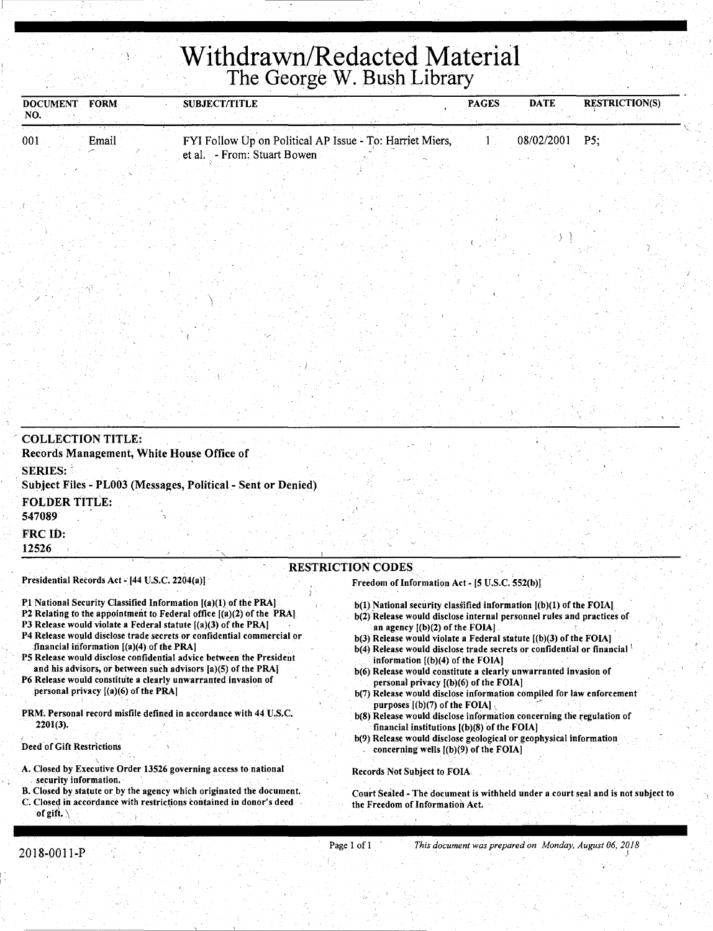## **Withdrawn/Redacted Material**  The George W. Bush Library

| <b>FORM</b><br><b>DOCUMENT</b><br>NO.                                                                         | <b>SUBJECT/TITLE</b>                                                                                                                                                                                                                                                                                                                                                                                                                                                                                                                                                                                                           | <b>PAGES</b>                     | <b>DATE</b> | <b>RESTRICTION(S)</b> |
|---------------------------------------------------------------------------------------------------------------|--------------------------------------------------------------------------------------------------------------------------------------------------------------------------------------------------------------------------------------------------------------------------------------------------------------------------------------------------------------------------------------------------------------------------------------------------------------------------------------------------------------------------------------------------------------------------------------------------------------------------------|----------------------------------|-------------|-----------------------|
| 001<br>Email                                                                                                  | FYI Follow Up on Political AP Issue - To: Harriet Miers,<br>et al. - From: Stuart Bowen                                                                                                                                                                                                                                                                                                                                                                                                                                                                                                                                        | $\mathbf{1}$                     | 08/02/2001  | P5;                   |
|                                                                                                               |                                                                                                                                                                                                                                                                                                                                                                                                                                                                                                                                                                                                                                |                                  |             |                       |
|                                                                                                               |                                                                                                                                                                                                                                                                                                                                                                                                                                                                                                                                                                                                                                |                                  |             |                       |
|                                                                                                               |                                                                                                                                                                                                                                                                                                                                                                                                                                                                                                                                                                                                                                |                                  |             |                       |
|                                                                                                               |                                                                                                                                                                                                                                                                                                                                                                                                                                                                                                                                                                                                                                |                                  |             |                       |
| <b>COLLECTION TITLE:</b><br>Records Management, White House Office of<br><b>SERIES:</b>                       |                                                                                                                                                                                                                                                                                                                                                                                                                                                                                                                                                                                                                                |                                  |             |                       |
| <b>FOLDER TITLE:</b><br>547089                                                                                | Subject Files - PL003 (Messages, Political - Sent or Denied)                                                                                                                                                                                                                                                                                                                                                                                                                                                                                                                                                                   |                                  |             |                       |
| FRC ID:<br>12526                                                                                              |                                                                                                                                                                                                                                                                                                                                                                                                                                                                                                                                                                                                                                |                                  |             |                       |
| Presidential Records Act - [44 U.S.C. 2204(a)]                                                                | <b>RESTRICTION CODES</b><br>Freedom of Information Act - [5 U.S.C. 552(b)]                                                                                                                                                                                                                                                                                                                                                                                                                                                                                                                                                     |                                  |             |                       |
| P3 Release would violate a Federal statute [(a)(3) of the PRA]<br>financial information $[(a)(4)$ of the PRA] | P1 National Security Classified Information [(a)(1) of the PRA]<br>$b(1)$ National security classified information $[(b)(1)$ of the FOIA]<br>P2 Relating to the appointment to Federal office [(a)(2) of the PRA]<br>b(2) Release would disclose internal personnel rules and practices of<br>an agency $[(b)(2)$ of the FOIA].<br>P4 Release would disclose trade secrets or confidential commercial or<br>b(3) Release would violate a Federal statute [(b)(3) of the FOIA]<br>b(4) Release would disclose trade secrets or confidential or financial<br>P5 Release would disclose confidential advice between the President | information ((b)(4) of the FOIA1 |             |                       |

and his advisors, or between such advisors [a)(5) of the PRAJ P6 Release would constitute a clearly unwarranted invasion of

personal privacy [(a)(6) of the PRA]

PRM. Personal record misfile defined in accordance with 44 U.S.C. 2201(3).

Deed of Gift Restrictions

\ A. Closed by Executive Order 13526 governing access to national security information.

- B. Closed by statute or by the agency which originated the document.
- C. Closed in accordance with restrictions contained in donor's deed of gift.  $\lambda$
- information [(b)(4) of the FOIA] b(6) Release would constitute a clearly unwarranted invasion of personal privacy [(b)(6) of the FOIA)
- b(7) Release would disclose information compiled for law enforcement purposes  $[(b)(7)$  of the FOIA]
- b(8) Release would disclose information concerning the regulation of financial institutions  $[(b)(8)$  of the FOIA]
- b(9) Release would disclose geological or geophysical information concerning wells [(b)(9) of the FOIA]

Records Not Subject to FOIA-

Court Sealed - The document is withheld under a court seal and is not subject to the Freedom of Information Act.